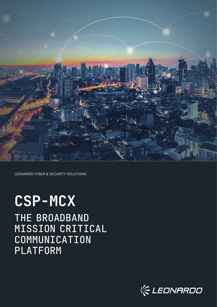

LEONARDO CYBER & SECURITY SOLUTIONS

# **CSP-MCX**

THE BROADBAND MISSION CRITICAL COMMUNICATION PLATFORM

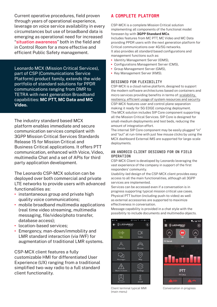Current operative procedures, field proven through years of operational experience, leverage on voice service availability in every circumstances but use of broadband data is emerging as operational need for increased "situation awareness" both in the field and in Control Room for a more effective and efficient Public Safety management.

Leonardo MCX (Mission Critical Services), part of CSP (Communications Service Platform) product family, extends the wide portfolio of standard solutions for PPDR communications ranging from DMR to TETRA with next generation Broadband capabilities: **MC PTT, MC Data and MC Video.**

The industry standard based MCX platform enables immediate and secure communication services compliant with 3GPP Mission Critical Services Standards Release 15 for Mission Critical and Business Critical applications. It offers PTT communication, enhanced with Voice, Video, multimedia Chat and a set of APIs for third party application development.

The Leonardo CSP-MCX solution can be deployed over both commercial and private LTE networks to provide users with advanced functionalities as:

- instantaneous group and private high quality voice communications;
- mobile broadband multimedia applications (real time video streaming, multimedia messaging, file/video/photo transfer, database access);
- location-based services;
- Emergency, man-down/immobility and LMR standard interaction (via IWF) for augmentation of traditional LMR systems.

CSP-MCX client features a fully customizable HMI for differentiated User Experience (UX) ranging from a traditional simplified two-way radio to a full standard client functionality.

# A COMPLETE PLATFORM

CSP-MCX is a complete Mission Critical solution implementing all components of the functional model foreseen by with **3GPP Standard MCx**.

Includes features from MC PTT, MC Video and MC Data providing PPDR users with the next generation platform for Critical communications over 4G/5G networks. It also provides all standard based configurations and management functions such as:

- **•** Identity Management Server (IDMS),
- **•** Configurations Management Server (CMS),
- **•** Group Management Server (GMS),
- **•** Key Management Server (KMS).

#### DESIGNED FOR FLEXIBILITY

CSP-MCX is a cloud native platform, designed to support the modern software architectures based on containers and micro services providing benefits in terms of: scalability, resiliency, efficient usage of system resources and security. CSP-MCX features user and control plane separation making it ready for 5G EDGE computing deployment. The MCX solution includes SIP Core component supporting all the Mission Critical Services. SIP Core is designed for small-medium deployments and test beds, reducing the amount of integration effort.

The internal SIP Core component may be easily plugged "in" and "out" at run-time with just few mouse clicks by using the MCX dashboard External IMS are supported for large-scale deployments.

#### AN ANDROID CLIENT DESIGNED FOR ON FIELD OPERATION

CSP-MCX Client is developed by Leonardo leveraging the vast experience of the company in support of the first responders' community.

Usability-led design of the CSP-MCX client provides easy access to all the main functionalities, although all 3GPP services are implemented.

Services can be accessed even if a conversation is in progress supporting typical mission critical use cases. Physical PTT button (including push-to-video) as well as external accessories are supported to maximize effectiveness in conversation.

Message capability is provided in a chat style with the possibility to include documents and multimedia objects.





Client terminal typical MMI (main menu)

Conversation in progress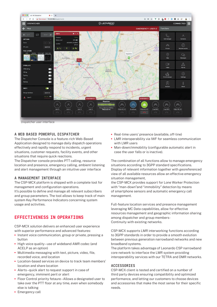

#### A WEB BASED POWERFUL DISPATCHER

The Dispatcher Console is a feature-rich Web-Based Application designed to manage daily dispatch operations effectively and rapidly respond to incidents, urgent situations, customer requests, facility events, and other situations that require quick reactions.

The Dispatcher console provides PTT calling, resource location and presence, emergency calling, ambient listening and alert management through an intuitive user interface

#### A MANAGEMENT INTERFACE

The CSP-MCX platform is shipped with a complete tool for management and configuration operations. It's possible to define and manage all relevant subscribers and group parameters. The tool allows to keep track of main system Key Performance Indicators concerning system usage and activities.

# EFFECTIVENESS IN OPERATIONS

CSP-MCX solution delivers an enhanced user experience with superior performance and advanced features:

- **•** Instant voice communication, group or private, pressing a button
- **•** High voice quality use of wideband AMR codec (and ACELP as an option)
- **•** Multimedia messaging with text, picture, video, file, recorded voice, and location
- **•** Location-based services on device to track team members' location and share location
- **•** Alerts –quick alert to request support in case of emergency, imminent peril or alert
- **•** Floor Control priority fetaure Allows a designated user to take over the PTT floor at any time, even when somebody else is talking
- **•** Emergency call
- **•** Real-time users' presence (available, off-line)
- **•** LMR interoperability via IWF for seamless communication with LMR users
- **•** Man-down/immobility (configurable automatic alert in case the user falls or is inactive).

The combination of all functions allow to manage emergency situations according to 3GPP standard specifications. Display of relevant information together with georeferenced view of all available resources allow an effective emergency situation management,

the CSP-MCX provides support for Lone Worker Protection with "man-down"and "immobility" detection by means of smartphone sensors and automatic emergency call management.

Full-feature location services and presence management leveraging MC Data capabilities, allow for effective resources management and geographic information sharing among dispatcher and group members-Continuity with existing networks.

CSP-MCX supports LMR interworking functions according to 3GPP standards in order to provide a smooth evolution between previous generation narrowband networks and new broadband systems.

The platform takes advantage of Leonardo CSP narrowband core network to interface the LMR system providing interoperability services with our TETRA and DMR networks.

#### **ACCESSORIES**

CSP-MCX client is tested and certified on a number of third party devices ensuring compatibility and optimized performance, and letting our customers to choose devices and accessories that make the most sense for their specific needs.